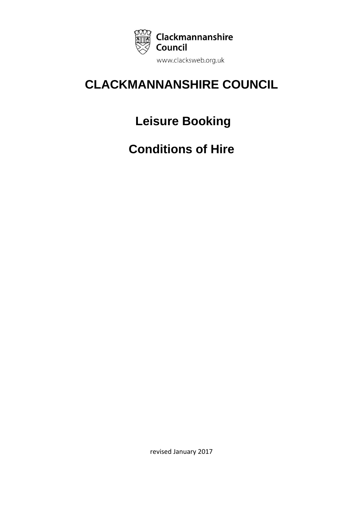

# **CLACKMANNANSHIRE COUNCIL**

# **Leisure Booking**

**Conditions of Hire**

revised January 2017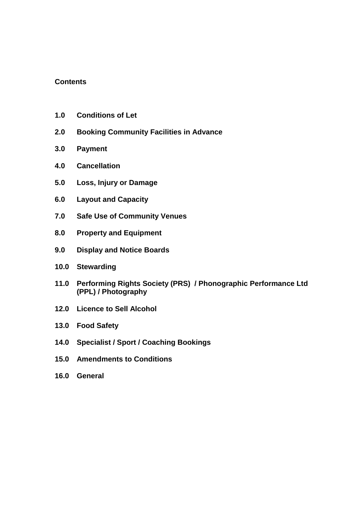### **Contents**

- **1.0 Conditions of Let**
- **2.0 Booking Community Facilities in Advance**
- **3.0 Payment**
- **4.0 Cancellation**
- **5.0 Loss, Injury or Damage**
- **6.0 Layout and Capacity**
- **7.0 Safe Use of Community Venues**
- **8.0 Property and Equipment**
- **9.0 Display and Notice Boards**
- **10.0 Stewarding**
- **11.0 Performing Rights Society (PRS) / Phonographic Performance Ltd (PPL) / Photography**
- **12.0 Licence to Sell Alcohol**
- **13.0 Food Safety**
- **14.0 Specialist / Sport / Coaching Bookings**
- **15.0 Amendments to Conditions**
- **16.0 General**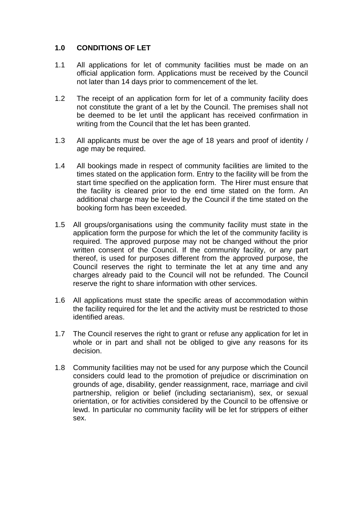## **1.0 CONDITIONS OF LET**

- 1.1 All applications for let of community facilities must be made on an official application form. Applications must be received by the Council not later than 14 days prior to commencement of the let.
- 1.2 The receipt of an application form for let of a community facility does not constitute the grant of a let by the Council. The premises shall not be deemed to be let until the applicant has received confirmation in writing from the Council that the let has been granted.
- 1.3 All applicants must be over the age of 18 years and proof of identity / age may be required.
- 1.4 All bookings made in respect of community facilities are limited to the times stated on the application form. Entry to the facility will be from the start time specified on the application form. The Hirer must ensure that the facility is cleared prior to the end time stated on the form. An additional charge may be levied by the Council if the time stated on the booking form has been exceeded.
- 1.5 All groups/organisations using the community facility must state in the application form the purpose for which the let of the community facility is required. The approved purpose may not be changed without the prior written consent of the Council. If the community facility, or any part thereof, is used for purposes different from the approved purpose, the Council reserves the right to terminate the let at any time and any charges already paid to the Council will not be refunded. The Council reserve the right to share information with other services.
- 1.6 All applications must state the specific areas of accommodation within the facility required for the let and the activity must be restricted to those identified areas.
- 1.7 The Council reserves the right to grant or refuse any application for let in whole or in part and shall not be obliged to give any reasons for its decision.
- 1.8 Community facilities may not be used for any purpose which the Council considers could lead to the promotion of prejudice or discrimination on grounds of age, disability, gender reassignment, race, marriage and civil partnership, religion or belief (including sectarianism), sex, or sexual orientation, or for activities considered by the Council to be offensive or lewd. In particular no community facility will be let for strippers of either sex.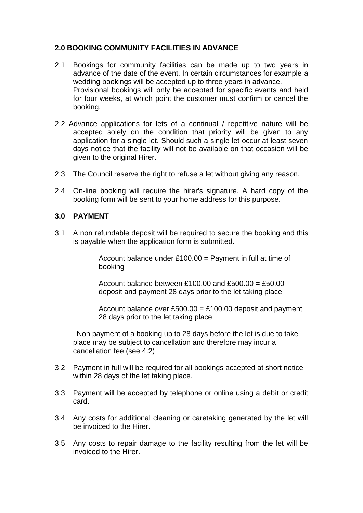## **2.0 BOOKING COMMUNITY FACILITIES IN ADVANCE**

- 2.1 Bookings for community facilities can be made up to two years in advance of the date of the event. In certain circumstances for example a wedding bookings will be accepted up to three years in advance. Provisional bookings will only be accepted for specific events and held for four weeks, at which point the customer must confirm or cancel the booking.
- 2.2 Advance applications for lets of a continual / repetitive nature will be accepted solely on the condition that priority will be given to any application for a single let. Should such a single let occur at least seven days notice that the facility will not be available on that occasion will be given to the original Hirer.
- 2.3 The Council reserve the right to refuse a let without giving any reason.
- 2.4 On-line booking will require the hirer's signature. A hard copy of the booking form will be sent to your home address for this purpose.

### **3.0 PAYMENT**

3.1 A non refundable deposit will be required to secure the booking and this is payable when the application form is submitted.

> Account balance under  $£100.00 =$  Payment in full at time of booking

Account balance between £100.00 and  $£500.00 = £50.00$ deposit and payment 28 days prior to the let taking place

Account balance over  $£500.00 = £100.00$  deposit and payment 28 days prior to the let taking place

Non payment of a booking up to 28 days before the let is due to take place may be subject to cancellation and therefore may incur a cancellation fee (see 4.2)

- 3.2 Payment in full will be required for all bookings accepted at short notice within 28 days of the let taking place.
- 3.3 Payment will be accepted by telephone or online using a debit or credit card.
- 3.4 Any costs for additional cleaning or caretaking generated by the let will be invoiced to the Hirer.
- 3.5 Any costs to repair damage to the facility resulting from the let will be invoiced to the Hirer.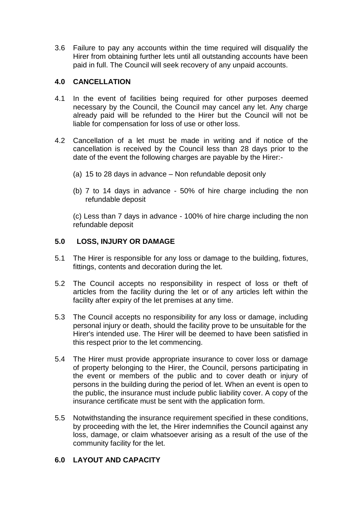3.6 Failure to pay any accounts within the time required will disqualify the Hirer from obtaining further lets until all outstanding accounts have been paid in full. The Council will seek recovery of any unpaid accounts.

## **4.0 CANCELLATION**

- 4.1 In the event of facilities being required for other purposes deemed necessary by the Council, the Council may cancel any let. Any charge already paid will be refunded to the Hirer but the Council will not be liable for compensation for loss of use or other loss.
- 4.2 Cancellation of a let must be made in writing and if notice of the cancellation is received by the Council less than 28 days prior to the date of the event the following charges are payable by the Hirer:-
	- (a) 15 to 28 days in advance Non refundable deposit only
	- (b) 7 to 14 days in advance 50% of hire charge including the non refundable deposit

(c) Less than 7 days in advance - 100% of hire charge including the non refundable deposit

## **5.0 LOSS, INJURY OR DAMAGE**

- 5.1 The Hirer is responsible for any loss or damage to the building, fixtures, fittings, contents and decoration during the let.
- 5.2 The Council accepts no responsibility in respect of loss or theft of articles from the facility during the let or of any articles left within the facility after expiry of the let premises at any time.
- 5.3 The Council accepts no responsibility for any loss or damage, including personal injury or death, should the facility prove to be unsuitable for the Hirer's intended use. The Hirer will be deemed to have been satisfied in this respect prior to the let commencing.
- 5.4 The Hirer must provide appropriate insurance to cover loss or damage of property belonging to the Hirer, the Council, persons participating in the event or members of the public and to cover death or injury of persons in the building during the period of let. When an event is open to the public, the insurance must include public liability cover. A copy of the insurance certificate must be sent with the application form.
- 5.5 Notwithstanding the insurance requirement specified in these conditions, by proceeding with the let, the Hirer indemnifies the Council against any loss, damage, or claim whatsoever arising as a result of the use of the community facility for the let.

## **6.0 LAYOUT AND CAPACITY**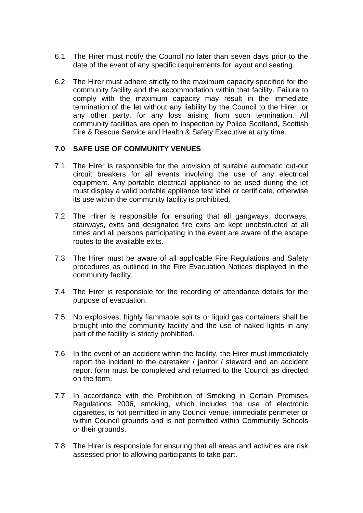- 6.1 The Hirer must notify the Council no later than seven days prior to the date of the event of any specific requirements for layout and seating.
- 6.2 The Hirer must adhere strictly to the maximum capacity specified for the community facility and the accommodation within that facility. Failure to comply with the maximum capacity may result in the immediate termination of the let without any liability by the Council to the Hirer, or any other party, for any loss arising from such termination. All community facilities are open to inspection by Police Scotland, Scottish Fire & Rescue Service and Health & Safety Executive at any time.

### **7.0 SAFE USE OF COMMUNITY VENUES**

- 7.1 The Hirer is responsible for the provision of suitable automatic cut-out circuit breakers for all events involving the use of any electrical equipment. Any portable electrical appliance to be used during the let must display a valid portable appliance test label or certificate, otherwise its use within the community facility is prohibited.
- 7.2 The Hirer is responsible for ensuring that all gangways, doorways, stairways, exits and designated fire exits are kept unobstructed at all times and all persons participating in the event are aware of the escape routes to the available exits.
- 7.3 The Hirer must be aware of all applicable Fire Regulations and Safety procedures as outlined in the Fire Evacuation Notices displayed in the community facility.
- 7.4 The Hirer is responsible for the recording of attendance details for the purpose of evacuation.
- 7.5 No explosives, highly flammable spirits or liquid gas containers shall be brought into the community facility and the use of naked lights in any part of the facility is strictly prohibited.
- 7.6 In the event of an accident within the facility, the Hirer must immediately report the incident to the caretaker / janitor / steward and an accident report form must be completed and returned to the Council as directed on the form.
- 7.7 In accordance with the Prohibition of Smoking in Certain Premises Regulations 2006, smoking, which includes the use of electronic cigarettes, is not permitted in any Council venue, immediate perimeter or within Council grounds and is not permitted within Community Schools or their grounds.
- 7.8 The Hirer is responsible for ensuring that all areas and activities are risk assessed prior to allowing participants to take part.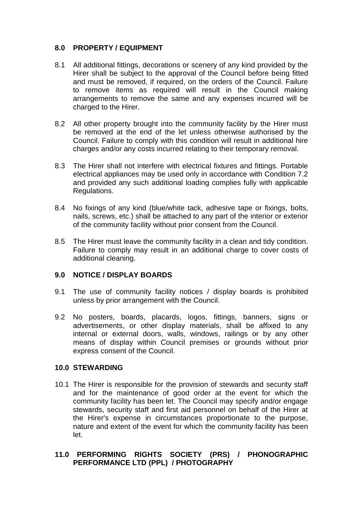## **8.0 PROPERTY / EQUIPMENT**

- 8.1 All additional fittings, decorations or scenery of any kind provided by the Hirer shall be subject to the approval of the Council before being fitted and must be removed, if required, on the orders of the Council. Failure to remove items as required will result in the Council making arrangements to remove the same and any expenses incurred will be charged to the Hirer.
- 8.2 All other property brought into the community facility by the Hirer must be removed at the end of the let unless otherwise authorised by the Council. Failure to comply with this condition will result in additional hire charges and/or any costs incurred relating to their temporary removal.
- 8.3 The Hirer shall not interfere with electrical fixtures and fittings. Portable electrical appliances may be used only in accordance with Condition 7.2 and provided any such additional loading complies fully with applicable Regulations.
- 8.4 No fixings of any kind (blue/white tack, adhesive tape or fixings, bolts, nails, screws, etc.) shall be attached to any part of the interior or exterior of the community facility without prior consent from the Council.
- 8.5 The Hirer must leave the community facility in a clean and tidy condition. Failure to comply may result in an additional charge to cover costs of additional cleaning.

### **9.0 NOTICE / DISPLAY BOARDS**

- 9.1 The use of community facility notices / display boards is prohibited unless by prior arrangement with the Council.
- 9.2 No posters, boards, placards, logos, fittings, banners, signs or advertisements, or other display materials, shall be affixed to any internal or external doors, walls, windows, railings or by any other means of display within Council premises or grounds without prior express consent of the Council.

### **10.0 STEWARDING**

10.1 The Hirer is responsible for the provision of stewards and security staff and for the maintenance of good order at the event for which the community facility has been let. The Council may specify and/or engage stewards, security staff and first aid personnel on behalf of the Hirer at the Hirer's expense in circumstances proportionate to the purpose, nature and extent of the event for which the community facility has been let.

## **11.0 PERFORMING RIGHTS SOCIETY (PRS) / PHONOGRAPHIC PERFORMANCE LTD (PPL) / PHOTOGRAPHY**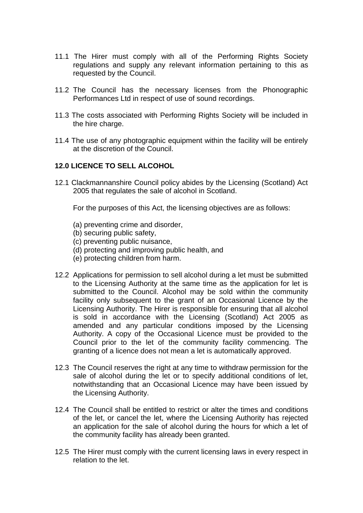- 11.1 The Hirer must comply with all of the Performing Rights Society regulations and supply any relevant information pertaining to this as requested by the Council.
- 11.2 The Council has the necessary licenses from the Phonographic Performances Ltd in respect of use of sound recordings.
- 11.3 The costs associated with Performing Rights Society will be included in the hire charge.
- 11.4 The use of any photographic equipment within the facility will be entirely at the discretion of the Council.

### **12.0 LICENCE TO SELL ALCOHOL**

12.1 Clackmannanshire Council policy abides by the Licensing (Scotland) Act 2005 that regulates the sale of alcohol in Scotland.

For the purposes of this Act, the licensing objectives are as follows:

- (a) preventing crime and disorder,
- (b) securing public safety,
- (c) preventing public nuisance,
- (d) protecting and improving public health, and
- (e) protecting children from harm.
- 12.2 Applications for permission to sell alcohol during a let must be submitted to the Licensing Authority at the same time as the application for let is submitted to the Council. Alcohol may be sold within the community facility only subsequent to the grant of an Occasional Licence by the Licensing Authority. The Hirer is responsible for ensuring that all alcohol is sold in accordance with the Licensing (Scotland) Act 2005 as amended and any particular conditions imposed by the Licensing Authority. A copy of the Occasional Licence must be provided to the Council prior to the let of the community facility commencing. The granting of a licence does not mean a let is automatically approved.
- 12.3 The Council reserves the right at any time to withdraw permission for the sale of alcohol during the let or to specify additional conditions of let, notwithstanding that an Occasional Licence may have been issued by the Licensing Authority.
- 12.4 The Council shall be entitled to restrict or alter the times and conditions of the let, or cancel the let, where the Licensing Authority has rejected an application for the sale of alcohol during the hours for which a let of the community facility has already been granted.
- 12.5 The Hirer must comply with the current licensing laws in every respect in relation to the let.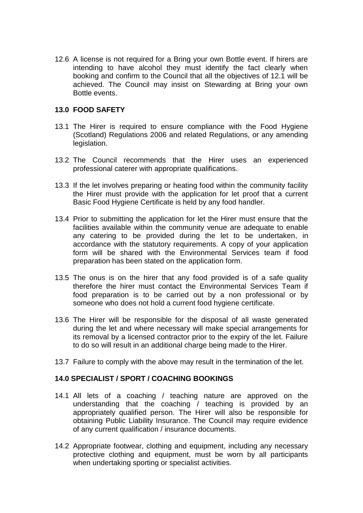12.6 A license is not required for a Bring your own Bottle event. If hirers are intending to have alcohol they must identify the fact clearly when booking and confirm to the Council that all the objectives of 12.1 will be achieved. The Council may insist on Stewarding at Bring your own Bottle events.

#### **13.0 FOOD SAFETY**

- 13.1 The Hirer is required to ensure compliance with the Food Hygiene (Scotland) Regulations 2006 and related Regulations, or any amending legislation.
- 13.2 The Council recommends that the Hirer uses an experienced professional caterer with appropriate qualifications.
- 13.3 If the let involves preparing or heating food within the community facility the Hirer must provide with the application for let proof that a current Basic Food Hygiene Certificate is held by any food handler.
- 13.4 Prior to submitting the application for let the Hirer must ensure that the facilities available within the community venue are adequate to enable any catering to be provided during the let to be undertaken, in accordance with the statutory requirements. A copy of your application form will be shared with the Environmental Services team if food preparation has been stated on the application form.
- 13.5 The onus is on the hirer that any food provided is of a safe quality therefore the hirer must contact the Environmental Services Team if food preparation is to be carried out by a non professional or by someone who does not hold a current food hygiene certificate.
- 13.6 The Hirer will be responsible for the disposal of all waste generated during the let and where necessary will make special arrangements for its removal by a licensed contractor prior to the expiry of the let. Failure to do so will result in an additional charge being made to the Hirer.
- 13.7 Failure to comply with the above may result in the termination of the let.

#### **14.0 SPECIALIST / SPORT / COACHING BOOKINGS**

- 14.1 All lets of a coaching / teaching nature are approved on the understanding that the coaching / teaching is provided by an appropriately qualified person. The Hirer will also be responsible for obtaining Public Liability Insurance. The Council may require evidence of any current qualification / insurance documents.
- 14.2 Appropriate footwear, clothing and equipment, including any necessary protective clothing and equipment, must be worn by all participants when undertaking sporting or specialist activities.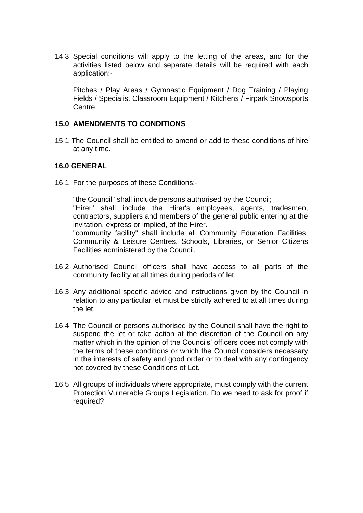14.3 Special conditions will apply to the letting of the areas, and for the activities listed below and separate details will be required with each application:-

Pitches / Play Areas / Gymnastic Equipment / Dog Training / Playing Fields / Specialist Classroom Equipment / Kitchens / Firpark Snowsports **Centre** 

### **15.0 AMENDMENTS TO CONDITIONS**

15.1 The Council shall be entitled to amend or add to these conditions of hire at any time.

### **16.0 GENERAL**

16.1 For the purposes of these Conditions:-

"the Council" shall include persons authorised by the Council; "Hirer" shall include the Hirer's employees, agents, tradesmen, contractors, suppliers and members of the general public entering at the invitation, express or implied, of the Hirer.

"community facility" shall include all Community Education Facilities, Community & Leisure Centres, Schools, Libraries, or Senior Citizens Facilities administered by the Council.

- 16.2 Authorised Council officers shall have access to all parts of the community facility at all times during periods of let.
- 16.3 Any additional specific advice and instructions given by the Council in relation to any particular let must be strictly adhered to at all times during the let.
- 16.4 The Council or persons authorised by the Council shall have the right to suspend the let or take action at the discretion of the Council on any matter which in the opinion of the Councils' officers does not comply with the terms of these conditions or which the Council considers necessary in the interests of safety and good order or to deal with any contingency not covered by these Conditions of Let.
- 16.5 All groups of individuals where appropriate, must comply with the current Protection Vulnerable Groups Legislation. Do we need to ask for proof if required?